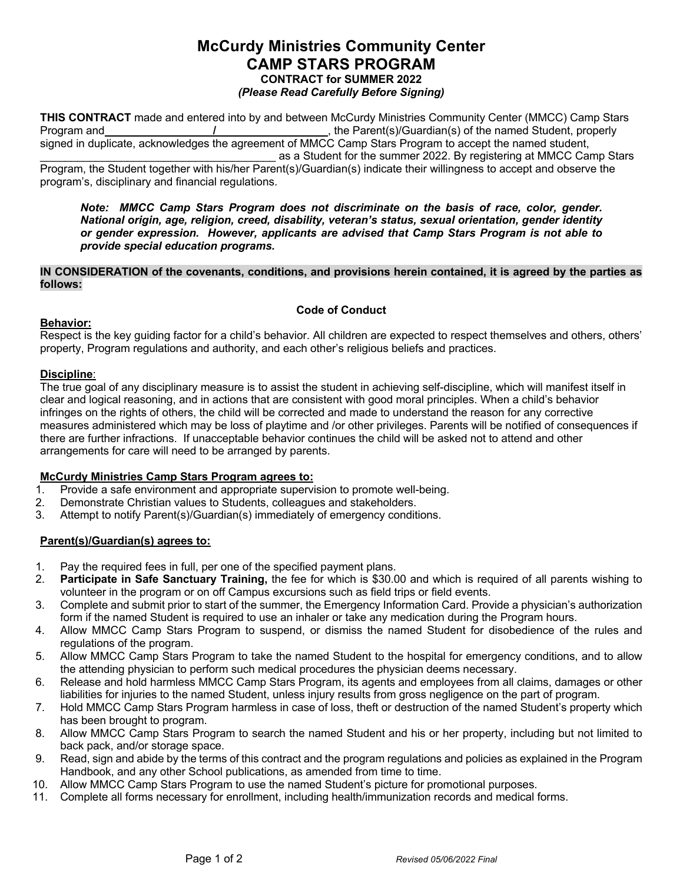# **McCurdy Ministries Community Center CAMP STARS PROGRAM CONTRACT for SUMMER 2022** *(Please Read Carefully Before Signing)*

**THIS CONTRACT** made and entered into by and between McCurdy Ministries Community Center (MMCC) Camp Stars Program and **\_\_\_\_\_\_\_\_\_\_\_\_\_\_\_\_\_/\_\_\_\_\_\_\_\_\_\_\_\_\_\_\_\_\_\_**, the Parent(s)/Guardian(s) of the named Student, properly signed in duplicate, acknowledges the agreement of MMCC Camp Stars Program to accept the named student, \_\_\_\_\_\_\_\_\_\_\_\_\_\_\_\_\_\_\_\_\_\_\_\_\_\_\_\_\_\_\_\_\_\_\_\_\_\_ as a Student for the summer 2022. By registering at MMCC Camp Stars

Program, the Student together with his/her Parent(s)/Guardian(s) indicate their willingness to accept and observe the program's, disciplinary and financial regulations.

*Note: MMCC Camp Stars Program does not discriminate on the basis of race, color, gender. National origin, age, religion, creed, disability, veteran's status, sexual orientation, gender identity or gender expression. However, applicants are advised that Camp Stars Program is not able to provide special education programs.*

#### **IN CONSIDERATION of the covenants, conditions, and provisions herein contained, it is agreed by the parties as follows:**

# **Code of Conduct**

### **Behavior:**

Respect is the key guiding factor for a child's behavior. All children are expected to respect themselves and others, others' property, Program regulations and authority, and each other's religious beliefs and practices.

# **Discipline**:

The true goal of any disciplinary measure is to assist the student in achieving self-discipline, which will manifest itself in clear and logical reasoning, and in actions that are consistent with good moral principles. When a child's behavior infringes on the rights of others, the child will be corrected and made to understand the reason for any corrective measures administered which may be loss of playtime and /or other privileges. Parents will be notified of consequences if there are further infractions. If unacceptable behavior continues the child will be asked not to attend and other arrangements for care will need to be arranged by parents.

### **McCurdy Ministries Camp Stars Program agrees to:**

- 1. Provide a safe environment and appropriate supervision to promote well-being.
- 2. Demonstrate Christian values to Students, colleagues and stakeholders.
- 3. Attempt to notify Parent(s)/Guardian(s) immediately of emergency conditions.

### **Parent(s)/Guardian(s) agrees to:**

- 1. Pay the required fees in full, per one of the specified payment plans.
- 2. **Participate in Safe Sanctuary Training,** the fee for which is \$30.00 and which is required of all parents wishing to volunteer in the program or on off Campus excursions such as field trips or field events.
- 3. Complete and submit prior to start of the summer, the Emergency Information Card. Provide a physician's authorization form if the named Student is required to use an inhaler or take any medication during the Program hours.
- 4. Allow MMCC Camp Stars Program to suspend, or dismiss the named Student for disobedience of the rules and regulations of the program.
- 5. Allow MMCC Camp Stars Program to take the named Student to the hospital for emergency conditions, and to allow the attending physician to perform such medical procedures the physician deems necessary.
- 6. Release and hold harmless MMCC Camp Stars Program, its agents and employees from all claims, damages or other liabilities for injuries to the named Student, unless injury results from gross negligence on the part of program.
- 7. Hold MMCC Camp Stars Program harmless in case of loss, theft or destruction of the named Student's property which has been brought to program.
- 8. Allow MMCC Camp Stars Program to search the named Student and his or her property, including but not limited to back pack, and/or storage space.
- 9. Read, sign and abide by the terms of this contract and the program regulations and policies as explained in the Program Handbook, and any other School publications, as amended from time to time.
- 10. Allow MMCC Camp Stars Program to use the named Student's picture for promotional purposes.
- 11. Complete all forms necessary for enrollment, including health/immunization records and medical forms.